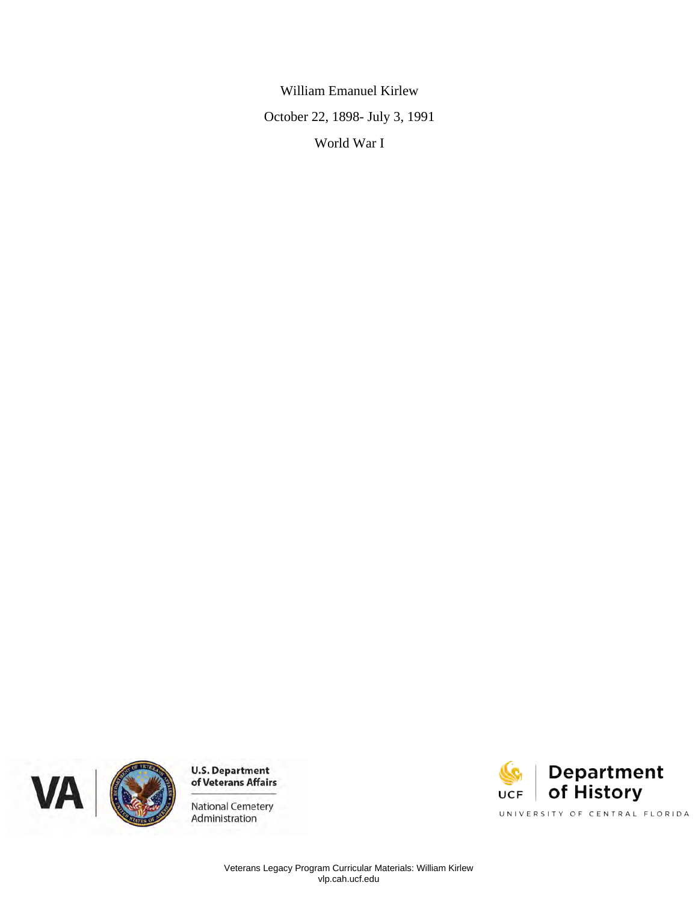William Emanuel Kirlew October 22, 1898- July 3, 1991 World War I





National Cemetery Administration

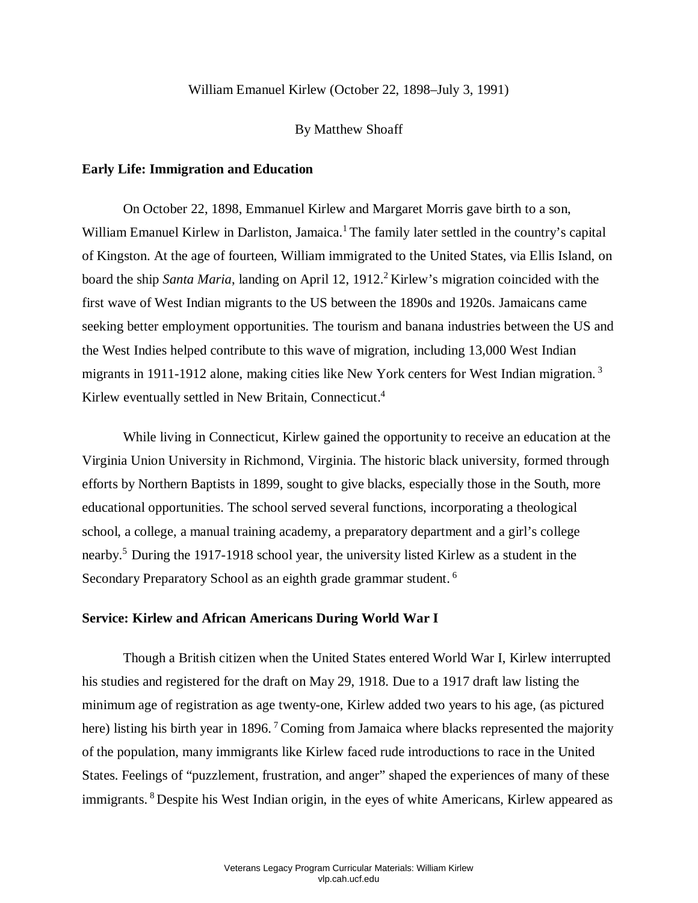## William Emanuel Kirlew (October 22, 1898–July 3, 1991)

#### By Matthew Shoaff

## **Early Life: Immigration and Education**

William Emanuel Kirlew in Darliston, Jamaica.<sup>1</sup> The family later settled in the country's capital of Kingston. At the age of fourteen, William immigrated to the United States, via Ellis Island, on the West Indies helped contribute to this wave of migration, including 13,000 West Indian On October 22, 1898, Emmanuel Kirlew and Margaret Morris gave birth to a son, board the ship *Santa Maria*, landing on April 12, 1912.<sup>2</sup> Kirlew's migration coincided with the first wave of West Indian migrants to the US between the 1890s and 1920s. Jamaicans came seeking better employment opportunities. The tourism and banana industries between the US and migrants in 1911-1912 alone, making cities like New York centers for West Indian migration.<sup>3</sup> Kirlew eventually settled in New Britain, Connecticut.<sup>4</sup>

 While living in Connecticut, Kirlew gained the opportunity to receive an education at the educational opportunities. The school served several functions, incorporating a theological Virginia Union University in Richmond, Virginia. The historic black university, formed through efforts by Northern Baptists in 1899, sought to give blacks, especially those in the South, more school, a college, a manual training academy, a preparatory department and a girl's college nearby.5 During the 1917-1918 school year, the university listed Kirlew as a student in the Secondary Preparatory School as an eighth grade grammar student.<sup>6</sup>

#### **Service: Kirlew and African Americans During World War I**

 Though a British citizen when the United States entered World War I, Kirlew interrupted his studies and registered for the draft on May 29, 1918. Due to a 1917 draft law listing the here) listing his birth year in 1896.<sup>7</sup> Coming from Jamaica where blacks represented the majority of the population, many immigrants like Kirlew faced rude introductions to race in the United immigrants. <sup>8</sup> Despite his West Indian origin, in the eyes of white Americans, Kirlew appeared as minimum age of registration as age twenty-one, Kirlew added two years to his age, (as pictured States. Feelings of "puzzlement, frustration, and anger" shaped the experiences of many of these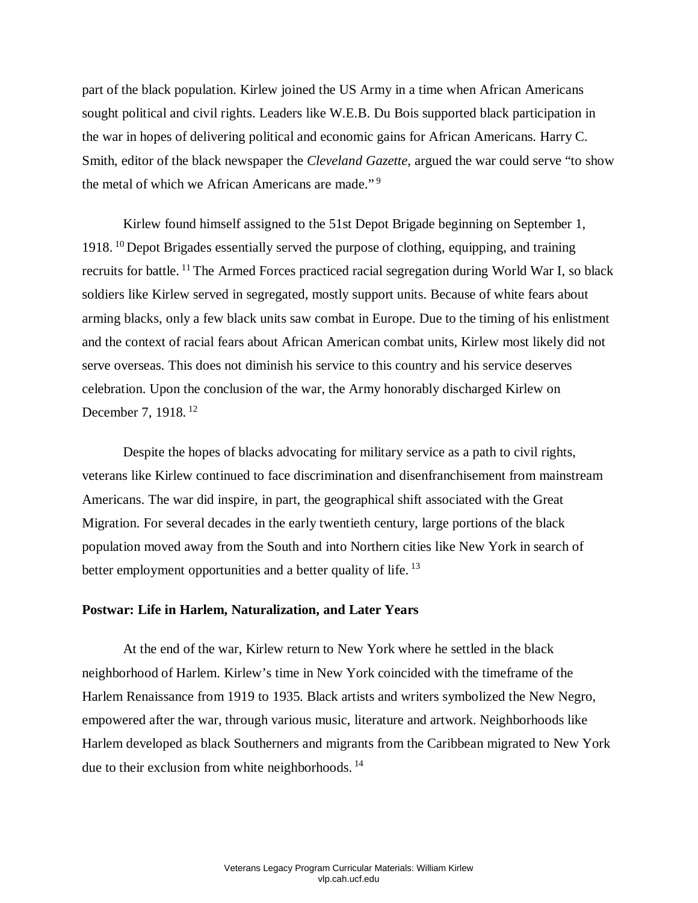part of the black population. Kirlew joined the US Army in a time when African Americans sought political and civil rights. Leaders like W.E.B. Du Bois supported black participation in the war in hopes of delivering political and economic gains for African Americans. Harry C. Smith, editor of the black newspaper the *Cleveland Gazette*, argued the war could serve "to show the metal of which we African Americans are made." 9

recruits for battle. <sup>11</sup> The Armed Forces practiced racial segregation during World War I, so black soldiers like Kirlew served in segregated, mostly support units. Because of white fears about arming blacks, only a few black units saw combat in Europe. Due to the timing of his enlistment and the context of racial fears about African American combat units, Kirlew most likely did not serve overseas. This does not diminish his service to this country and his service deserves celebration. Upon the conclusion of the war, the Army honorably discharged Kirlew on Kirlew found himself assigned to the 51st Depot Brigade beginning on September 1, 1918. 10 Depot Brigades essentially served the purpose of clothing, equipping, and training December 7, 1918. 12

 veterans like Kirlew continued to face discrimination and disenfranchisement from mainstream Americans. The war did inspire, in part, the geographical shift associated with the Great Despite the hopes of blacks advocating for military service as a path to civil rights, Migration. For several decades in the early twentieth century, large portions of the black population moved away from the South and into Northern cities like New York in search of better employment opportunities and a better quality of life.<sup>13</sup>

### **Postwar: Life in Harlem, Naturalization, and Later Years**

 At the end of the war, Kirlew return to New York where he settled in the black Harlem Renaissance from 1919 to 1935. Black artists and writers symbolized the New Negro, empowered after the war, through various music, literature and artwork. Neighborhoods like Harlem developed as black Southerners and migrants from the Caribbean migrated to New York due to their exclusion from white neighborhoods.<sup>14</sup> neighborhood of Harlem. Kirlew's time in New York coincided with the timeframe of the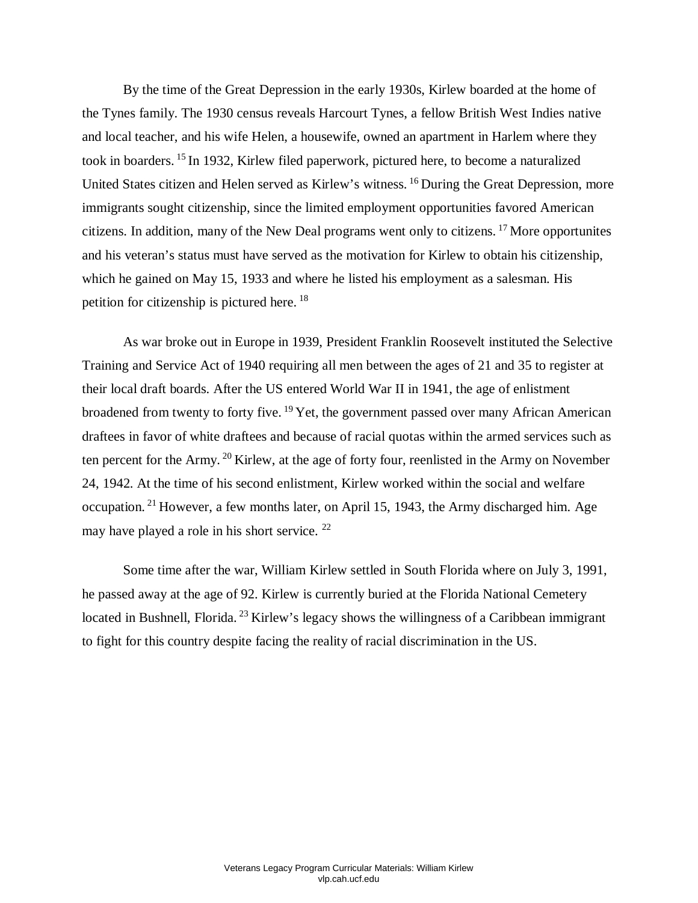By the time of the Great Depression in the early 1930s, Kirlew boarded at the home of the Tynes family. The 1930 census reveals Harcourt Tynes, a fellow British West Indies native took in boarders. <sup>15</sup> In 1932, Kirlew filed paperwork, pictured here, to become a naturalized and his veteran's status must have served as the motivation for Kirlew to obtain his citizenship, which he gained on May 15, 1933 and where he listed his employment as a salesman. His and local teacher, and his wife Helen, a housewife, owned an apartment in Harlem where they United States citizen and Helen served as Kirlew's witness. 16 During the Great Depression, more immigrants sought citizenship, since the limited employment opportunities favored American citizens. In addition, many of the New Deal programs went only to citizens. 17 More opportunites petition for citizenship is pictured here. 18

 Training and Service Act of 1940 requiring all men between the ages of 21 and 35 to register at draftees in favor of white draftees and because of racial quotas within the armed services such as ten percent for the Army.<sup>20</sup> Kirlew, at the age of forty four, reenlisted in the Army on November 24, 1942. At the time of his second enlistment, Kirlew worked within the social and welfare occupation.<sup>21</sup> However, a few months later, on April 15, 1943, the Army discharged him. Age As war broke out in Europe in 1939, President Franklin Roosevelt instituted the Selective their local draft boards. After the US entered World War II in 1941, the age of enlistment broadened from twenty to forty five. <sup>19</sup> Yet, the government passed over many African American may have played a role in his short service. <sup>22</sup>

 he passed away at the age of 92. Kirlew is currently buried at the Florida National Cemetery located in Bushnell, Florida.<sup>23</sup> Kirlew's legacy shows the willingness of a Caribbean immigrant Some time after the war, William Kirlew settled in South Florida where on July 3, 1991, to fight for this country despite facing the reality of racial discrimination in the US.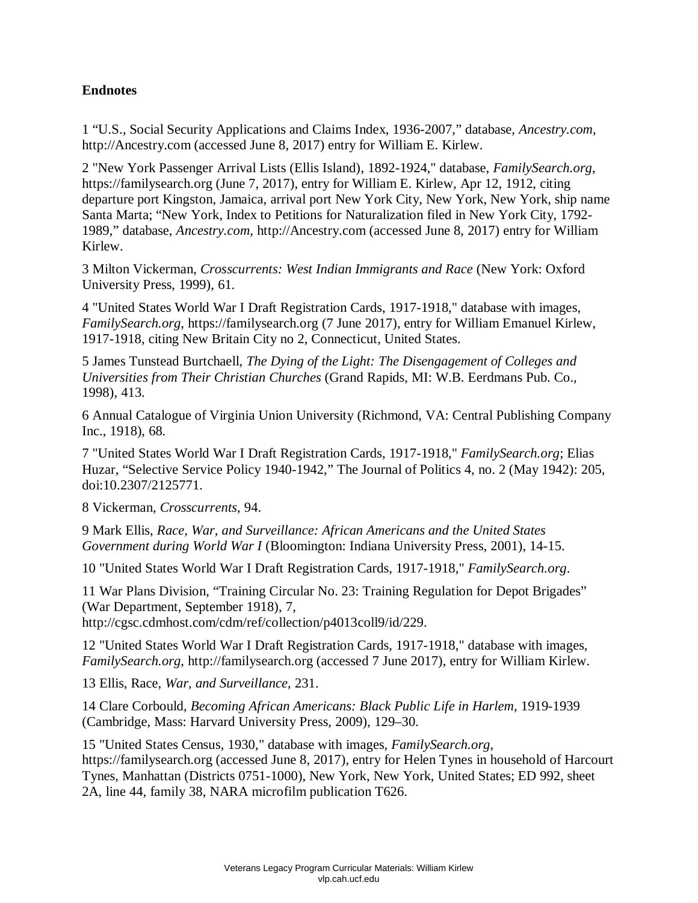# **Endnotes**

1 "U.S., Social Security Applications and Claims Index, 1936-2007," database, *Ancestry.com*, http://Ancestry.com (accessed June 8, 2017) entry for William E. Kirlew.

 2 "New York Passenger Arrival Lists (Ellis Island), 1892-1924," database, *FamilySearch.org*, https://familysearch.org (June 7, 2017), entry for William E. Kirlew, Apr 12, 1912, citing 1989," database, *Ancestry.com*, http://Ancestry.com (accessed June 8, 2017) entry for William departure port Kingston, Jamaica, arrival port New York City, New York, New York, ship name Santa Marta; "New York, Index to Petitions for Naturalization filed in New York City, 1792- Kirlew.

3 Milton Vickerman, *Crosscurrents: West Indian Immigrants and Race* (New York: Oxford University Press, 1999), 61.

 4 "United States World War I Draft Registration Cards, 1917-1918," database with images, *FamilySearch.org*, https://familysearch.org (7 June 2017), entry for William Emanuel Kirlew, 1917-1918, citing New Britain City no 2, Connecticut, United States.

5 James Tunstead Burtchaell, *The Dying of the Light: The Disengagement of Colleges and Universities from Their Christian Churches* (Grand Rapids, MI: W.B. Eerdmans Pub. Co., 1998), 413.

 6 Annual Catalogue of Virginia Union University (Richmond, VA: Central Publishing Company Inc., 1918), 68.

doi:10.2307/2125771. 7 "United States World War I Draft Registration Cards, 1917-1918," *FamilySearch.org*; Elias Huzar, "Selective Service Policy 1940-1942," The Journal of Politics 4, no. 2 (May 1942): 205,

doi:10.2307/2125771. 8 Vickerman, *Crosscurrents*, 94.

9 Mark Ellis, *Race, War, and Surveillance: African Americans and the United States Government during World War I* (Bloomington: Indiana University Press, 2001), 14-15.

10 "United States World War I Draft Registration Cards, 1917-1918," *FamilySearch.org*.

11 War Plans Division, "Training Circular No. 23: Training Regulation for Depot Brigades" (War Department, September 1918), 7,

http://cgsc.cdmhost.com/cdm/ref/collection/p4013coll9/id/229.

 12 "United States World War I Draft Registration Cards, 1917-1918," database with images, *FamilySearch.org*, http://familysearch.org (accessed 7 June 2017), entry for William Kirlew.

13 Ellis, Race, *War, and Surveillance*, 231.

14 Clare Corbould, *Becoming African Americans: Black Public Life in Harlem*, 1919-1939 (Cambridge, Mass: Harvard University Press, 2009), 129–30.

 15 "United States Census, 1930," database with images, *FamilySearch.org*, https://familysearch.org (accessed June 8, 2017), entry for Helen Tynes in household of Harcourt Tynes, Manhattan (Districts 0751-1000), New York, New York, United States; ED 992, sheet 2A, line 44, family 38, NARA microfilm publication T626.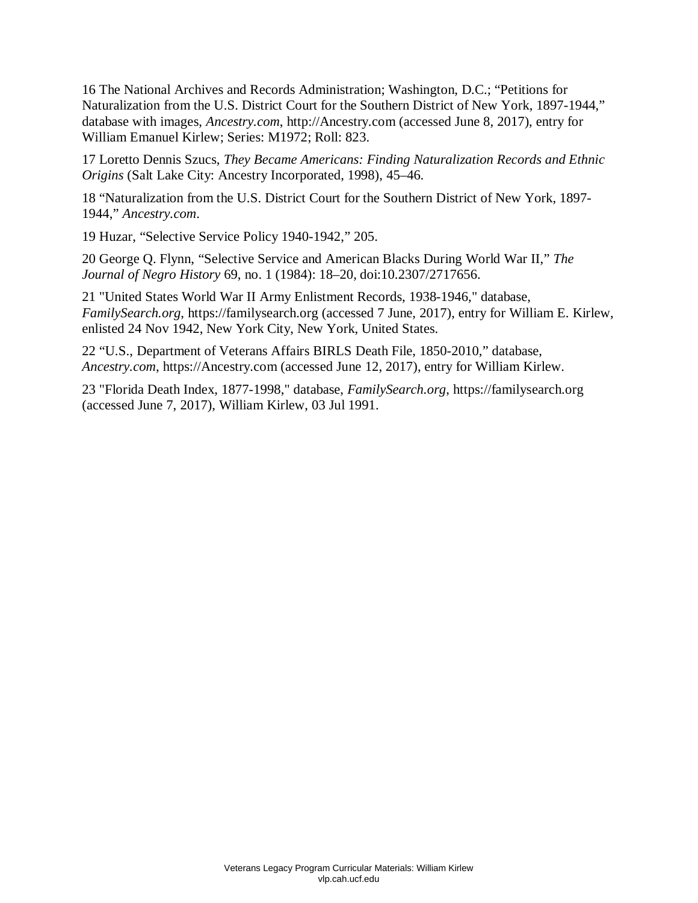16 The National Archives and Records Administration; Washington, D.C.; "Petitions for database with images, *Ancestry.com*, http://Ancestry.com (accessed June 8, 2017), entry for Naturalization from the U.S. District Court for the Southern District of New York, 1897-1944," William Emanuel Kirlew; Series: M1972; Roll: 823.

17 Loretto Dennis Szucs, *They Became Americans: Finding Naturalization Records and Ethnic Origins* (Salt Lake City: Ancestry Incorporated, 1998), 45–46.

18 "Naturalization from the U.S. District Court for the Southern District of New York, 1897- 1944," *Ancestry.com*.

19 Huzar, "Selective Service Policy 1940-1942," 205.

 20 George Q. Flynn, "Selective Service and American Blacks During World War II," *The Journal of Negro History* 69, no. 1 (1984): 18–20, doi:10.2307/2717656.

21 "United States World War II Army Enlistment Records, 1938-1946," database, *FamilySearch.org*, https://familysearch.org (accessed 7 June, 2017), entry for William E. Kirlew, enlisted 24 Nov 1942, New York City, New York, United States.

 *Ancestry.com*, https://Ancestry.com (accessed June 12, 2017), entry for William Kirlew. 22 "U.S., Department of Veterans Affairs BIRLS Death File, 1850-2010," database,

23 "Florida Death Index, 1877-1998," database, *FamilySearch.org*, https://familysearch.org (accessed June 7, 2017), William Kirlew, 03 Jul 1991.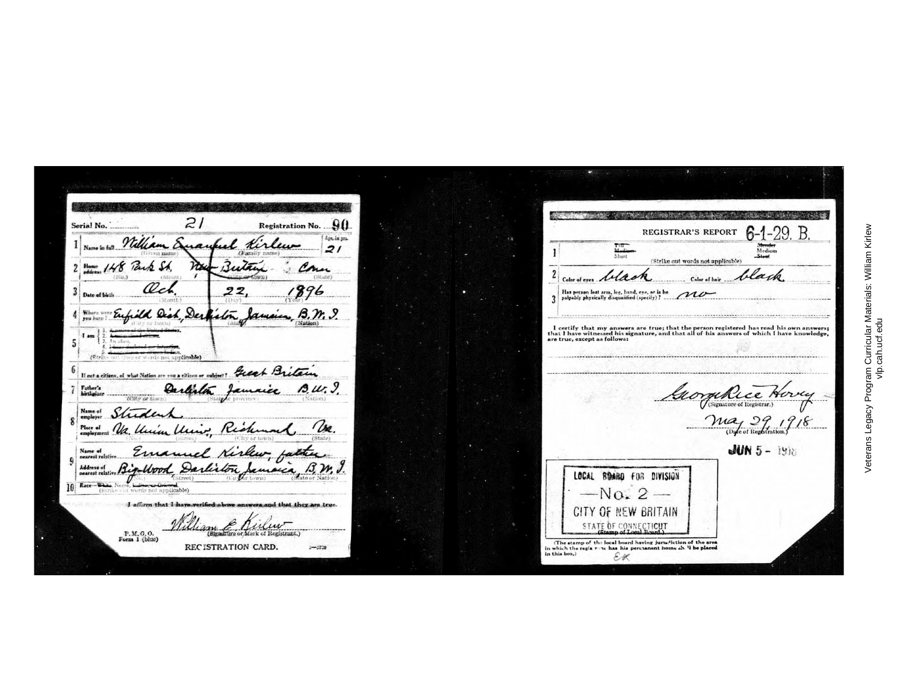$\sim$ *~~:.'~* • • • , .. \_,· \. "l, ;,. , . .. .. .J.  $=$ Serial No.  $=$   $\frac{2}{\sqrt{2}}$ Registration No.  $.90$ REGISTRAR'S REPORT **6-1-29. B.**  $1$  may William Enawhel Kirlew  $\frac{1}{2}$ **=-,======,,--,-;,r- =-.-=---~** -=r::------·-· -- ~ - ---==- 1. Medium Medium Medium Medium Medium Medium Medium Medium Medium Medium Medium Medium Medium Medium Medium Medium Medium Medium Medium Medium Medium Medium Medium Medium Medium Medium Medium Medium Medium Medium Medium Me - Butan (Strike out words not applicable)  $\mathcal{L}_{\mathcal{M}_{\mathcal{A}}(S\cup\mathcal{B})}$  $\overline{\mathcal{C}}$  .  $\overline{\mathcal{C}}$ Color of eyes **black** cherch color of this black i;J,..*··---~----llq6* - **\_** I n.. Jl"!n•on J.tst um. lt:,r, h• nd, f'..;ffl!, er ia he \_/J/'r /.>-- ~==:~·k•II, ~i,,u,hfied{~=~:\_·-~·-:· == =······---··········:··-·'-:~·-:\_  $(1)$   $(1)$   $(1)$   $(1)$   $(2)$   $(2)$   $(2)$   $(3)$   $(4)$   $(5)$   $(6)$   $(7)$   $(8)$   $(8)$   $(9)$   $(1)$   $(1)$   $(1)$   $(2)$   $(3)$   $(4)$   $(5)$   $(6)$   $(7)$   $(8)$   $(8)$   $(9)$   $(1)$   $(1)$   $(1)$   $(2)$   $(3)$   $(4)$   $(5)$   $(6)$   $(7)$   $(8)$ frild Dish, Derhiston Jamaica, B.M. 9. I certify that my answers are true; that the person registered has read his own answers;<br>that I have witnessed his signature, and that all of his answers of which I have knowledge,<br>are true, except as followa: I am 5 -----··------------- ..·-----------~- -----..----.--------------------------··· **\_~--···**  If not a citizen, of what Nation are you a citizen or subject? ---------------------------.·-------------·-- Father's<br>hirthplan Carlista Jamaice B.W. 9. Horsey Signature of Registrar.) ~-*:.. ~-* ,... . ,., {~·..n'•.,l ,-*-~* (1·1t,· r1tw~11} *--~* $\frac{2}{\frac{1}{2}}$ *Place of*<br>employme State) **JUN 5-1916 <sup>9</sup>**I*'::::.t!.i.,:,,. \_\_\_~..A:.~* "--~ --~ **rd;~,**·.-- *~,fi~,;(-* **101~ -,.,..,..1'-lio , -CJ'> --l** . . --'---'(b::;'c:.:"e:':...·:....l,t \';'~~\_!!ht tll\_:J~Jf)~) \_ \_ \_\_\_\_\_\_\_\_\_\_ \_\_\_\_\_ Address of **relative 1349-UDDA, Darling Jamaica LOCAL BOABO FOR DIVISION**  $r - \text{No. } 2$ I affirm that I have verified above answers and that they are true. GITY Of NEW BRITAIN STATE OF CONNECTICUT **P.M.G.O.** *REC ISTRATION CARD. z-ata* In which the regis run, has his permanent home  $x h$ . It he placed<br>in which the regis run, has his permanent home  $x h$ . It he placed<br>in this box.) **REC'ISTRATION CARD.**  $\mathcal{E}$ K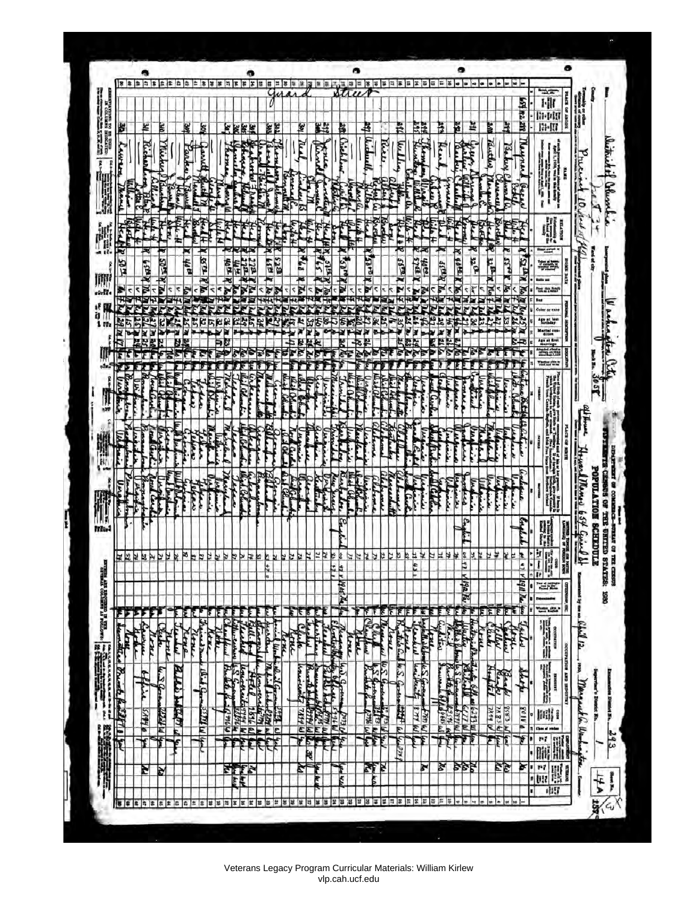Veterans Legacy Program Curricular Materials: William Kirlew vlp.cah.ucf.edu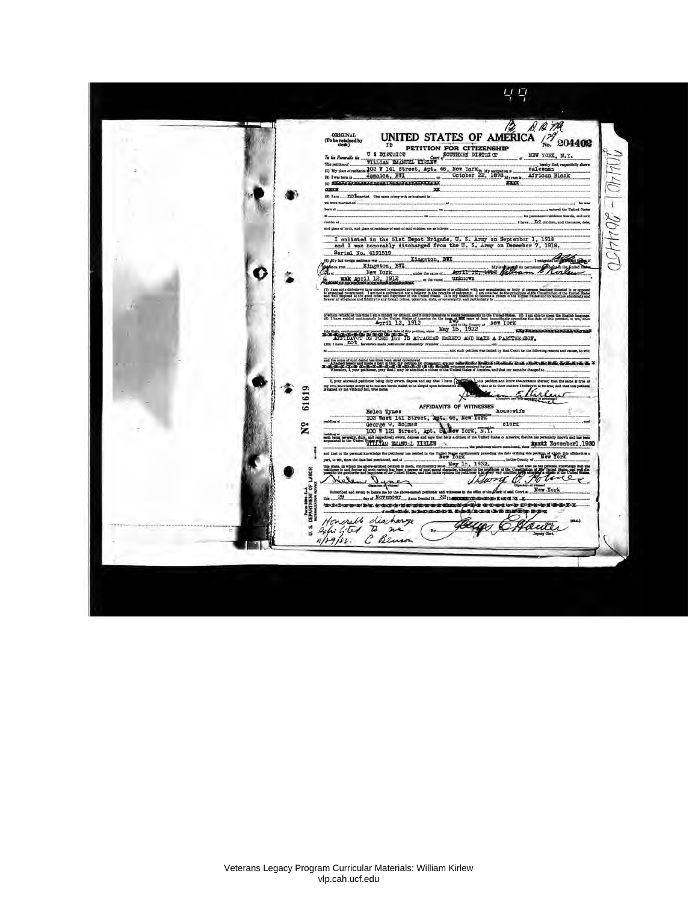49 UNITED STATES OF AMERICA  $\frac{1}{2}$  201402 ORIGINAL<br>(To be retained by<br>derk) (To be related by<br>
(To be related by<br>
To a Richard by<br>
To a Richard by<br>
To a Richard by<br>
To B REGISTER PETITION FOR CITIZENSHIP<br>
The High state of the second condition of the second party<br>
(C) My plane of models and 103 W NEW YORK, N.Y. JOULIO - 204400 heaty fist, repetinity she<br>salesman<br>African Black vi vast ind on ...  $...$ hs was<br>.....; entered the United States born at ... ... in for permanent residence therein, and now<br>I have .... Don children, and the name, data,  $\mathbf{a}$ insider at and place of birth, and place of residence of each of said chil I enlisted in the blat Depot Brigade, U. S. Army on September 1, 1918<br>and I was honorably discharged from the U. S. Army on December 7, 1918. Serial No. 4191519 **I migrate Change** Kingston, BWI **Company and treaty materials and the Company of Section 1987**<br> *May a* Merry Terry 1982<br> *May a* Terry April 12, 1912 water the name of AUTIL 18, 1012 William - Skirte O Ġ, unknown mm (7) I am not a disbelleve in or exposed to expanse or examples of or affiliatel with any expansation or body of person feaching disbellel in or opposed<br>In expansat growsmans. I am not a proyection are believe in the produc  $\frac{1}{2}$  when the<br>holds understanding of the spin of the spin of the spin of the spin of<br> $\frac{1}{2}$  and  $\frac{1}{2}$  and  $\frac{1}{2}$  and<br> $\frac{1}{2}$  and  $\frac{1}{2}$  and  $\frac{1}{2}$  and<br> $\frac{1}{2}$  and  $\frac{1}{2}$  and  $\frac{1}{2}$  and<br> $\frac{1$ on. (8) I am able to speak the English language.<br>preceding the date of this petition, to wit, sines to with and the cause of moth denti has show been caused or removed.<br>To the Charles Law is not had a topic of the one processes for detailing appropriate the control of the conduction of the control of the control of the control o  $1.7.7$ L your aire and say that I have 61619 my own knowledge sneept as to matters  $\times$ am E AFFIDAVITS OF WITNESSES Helen Synes AFFIDAVITS OF WITNESSES housewife<br>
103 West Lil Street, Apt. 30, Hew York: Since Mark Corps of the Same Corps of the Same Corps of the Same Corps of the Same Corps of the Corps of the Corps of the Corps of the ę. residing at  $100$  W 121 Street,  $\Delta p t$ .  $D \& A$ <br>and being severally duty and respectively every, deposes and says that he is<br>separated in the United WILL/ANI EMANU-L. KIRLEW April Novemberl, 1930 al knowledge the political has resided in the United States contains the state of the BOTE and that to his pe tion of which this affidavit is a date of filing this pet  $1500 - 400$ tast, to will show the data bast or ad, and at ... in the County of .. May 15, to, in which the above-millied petition is made that the best of during all such periods has been a per-**Distance** das that the<br>and wall die-<br>man found there  $\frac{Q_{\text{max}}}{Q_{\text{max}}}$  $\mathbf{r}$ New York of said Court at .  $\frac{32}{10}$  and  $\frac{32}{1}$ **BIRDER** Honorall diachange<br>24. 461 6 mars Bey CHaut By